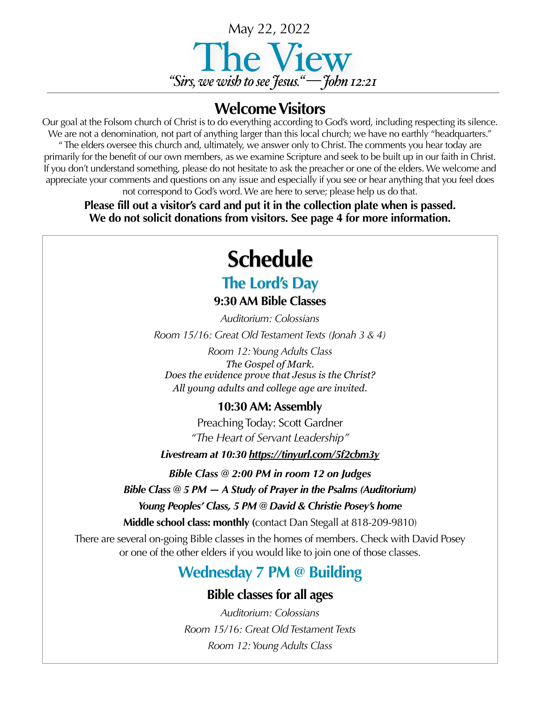

### **Welcome Visitors**

Our goal at the Folsom church of Christ is to do everything according to God's word, including respecting its silence. We are not a denomination, not part of anything larger than this local church; we have no earthly "headquarters." " The elders oversee this church and, ultimately, we answer only to Christ. The comments you hear today are primarily for the benefit of our own members, as we examine Scripture and seek to be built up in our faith in Christ. If you don't understand something, please do not hesitate to ask the preacher or one of the elders. We welcome and appreciate your comments and questions on any issue and especially if you see or hear anything that you feel does not correspond to God's word. We are here to serve; please help us do that.

**Please fill out a visitor's card and put it in the collection plate when is passed. We do not solicit donations from visitors. See page 4 for more information.**

# **Schedule**

## **The Lord's Day**

**9:30 AM Bible Classes**

*Auditorium: Colossians Room 15/16: Great Old Testament Texts (Jonah 3 & 4)*

*Room 12: Young Adults Class The Gospel of Mark. Does the evidence prove that Jesus is the Christ? All young adults and college age are invited*.

### **10:30 AM: Assembly**

Preaching Today: Scott Gardner *"The Heart of Servant Leadership"*

*Livestream at 10:30 <https://tinyurl.com/5f2cbm3y>*

*Bible Class @ 2:00 PM in room 12 on Judges*

*Bible Class @ 5 PM — A Study of Prayer in the Psalms (Auditorium)*

*Young Peoples' Class, 5 PM @ David & Christie Posey's home* 

**Middle school class: monthly (**contact Dan Stegall at 818-209-9810)

There are several on-going Bible classes in the homes of members. Check with David Posey or one of the other elders if you would like to join one of those classes.

## **Wednesday 7 PM @ Building**

### **Bible classes for all ages**

*Auditorium: Colossians Room 15/16: Great Old Testament Texts Room 12: Young Adults Class*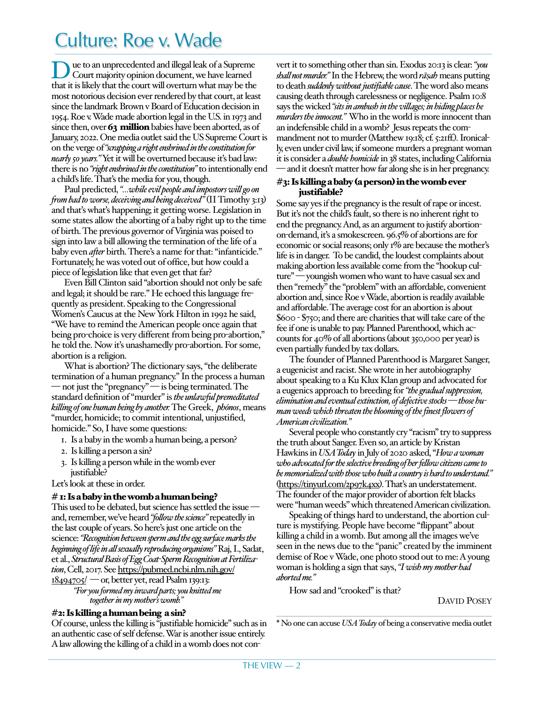# Culture: Roe v. Wade

Due to an unprecedented and illegal leak of a Supreme Court majority opinion document, we have learned that it is likely that the court will overturn what may be the most notorious decision ever rendered by that court, at least since the landmark Brown v Board of Education decision in 1954. Roe v. Wade made abortion legal in the U.S. in 1973 and since then, over 63 million babies have been aborted, as of January, 2022. One media outlet said the US Supreme Court is on the verge of *"scrapping a right enshrined in the constitution for nearly 50 years."* Yet it will be overturned because it's bad law: there is no *"right enshrined in the constitution"* to intentionally end a child's life. That's the media for you, though.

Paul predicted, *"…while evil people and impostors will go on from bad to worse, deceiving and being deceived"* (II Timothy 3:13) and that's what's happening; it getting worse. Legislation in some states allow the aborting of a baby right up to the time of birth. The previous governor of Virginia was poised to sign into law a bill allowing the termination of the life of a baby even *after* birth. There's a name for that: "infanticide." Fortunately, he was voted out of office, but how could a piece of legislation like that even get that far?

Even Bill Clinton said "abortion should not only be safe and legal; it should be rare." He echoed this language frequently as president. Speaking to the Congressional Women's Caucus at the New York Hilton in 1992 he said, "We have to remind the American people once again that being pro-choice is very different from being pro-abortion," he told the. Now it's unashamedly pro-abortion. For some, abortion is a religion.

What is abortion? The dictionary says, "the deliberate termination of a human pregnancy." In the process a human — not just the "pregnancy" — is being terminated. The standard definition of "murder" is *the unlawful premeditated killing of one human being by another.* The Greek, *phónos*, means "murder, homicide; to commit intentional, unjustified, homicide." So, I have some questions:

- 1. Is a baby in the womb a human being, a person?
- 2. Is killing a person a sin?
- 3. Is killing a person while in the womb ever justifiable?

Let's look at these in order.

#### $#$  1: Is a baby in the womb a human being?

This used to be debated, but science has settled the issue and, remember, we've heard *"follow the science"* repeatedly in the last couple of years. So here's just one article on the science: *"Recognition between sperm and the egg surface marks the beginning of life in all sexually reproducing organisms"* Raj, I., Sadat, et al., *Structural Basis of Egg Coat-Sperm Recognition at Fertilization*, Cell, 2017. See [https://pubmed.ncbi.nlm.nih.gov/](https://pubmed.ncbi.nlm.nih.gov/18494705/)  $18494705$   $-$  or, better yet, read Psalm 139:13:

*"For you formed my inward parts; you knitted me together in my mother's womb."*

#### #2: Is killing a human being a sin?

Of course, unless the killing is "justifiable homicide" such as in an authentic case of self defense. War is another issue entirely. A law allowing the killing of a child in a womb does not con-

vert it to something other than sin. Exodus 20:13 is clear: *"you shall not murder."* In the Hebrew, the word *rāṣah* means putting to death *suddenly without justifiable cause*. The word also means causing death through carelessness or negligence. Psalm 10:8 says the wicked *"sits in ambush in the villages; in hiding places he murders the innocent."* Who in the world is more innocent than an indefensible child in a womb? Jesus repeats the commandment not to murder (Matthew 19:18; cf. 5:21ff.). Ironically, even under civil law, if someone murders a pregnant woman it is consider a *double homicide* in 38 states, including California and it doesn't matter how far along she is in her pregnancy.

#### #3: Is killing a baby (a person) in the womb ever justifiable?

Some say yes if the pregnancy is the result of rape or incest. But it's not the child's fault, so there is no inherent right to end the pregnancy. And, as an argument to justify abortionon-demand, it's a smokescreen. 96.5% of abortions are for economic or social reasons; only 1% are because the mother's life is in danger. To be candid, the loudest complaints about making abortion less available come from the "hookup culture" — youngish women who want to have casual sex and then "remedy" the "problem" with an affordable, convenient abortion and, since Roe v Wade, abortion is readily available and affordable. The average cost for an abortion is about \$600 - \$750; and there are charities that will take care of the fee if one is unable to pay. Planned Parenthood, which accounts for 40% of all abortions (about 350,000 per year) is even partially funded by tax dollars.

The founder of Planned Parenthood is Margaret Sanger, a eugenicist and racist. She wrote in her autobiography about speaking to a Ku Klux Klan group and advocated for a eugenics approach to breeding for *"the gradual suppression, elimination and eventual extinction, of defective stocks — those human weeds which threaten the blooming of the finest flowers of American civilization."*

Several people who constantly cry "racism" try to suppress the truth about Sanger. Even so, an article by Kristan Hawkins in *USA Today* in July of 2020 asked, "*How a woman who advocated for the selective breeding of her fellow citizens came to be memorialized with those who built a country is hard to understand."* (<https://tinyurl.com/2p97k4xx>). That's an understatement. The founder of the major provider of abortion felt blacks were "human weeds" which threatened American civilization.

Speaking of things hard to understand, the abortion culture is mystifying. People have become "flippant" about killing a child in a womb. But among all the images we've seen in the news due to the "panic" created by the imminent demise of Roe v Wade, one photo stood out to me: A young woman is holding a sign that says, *"I wish my mother had aborted me."*

How sad and "crooked" is that?

DAVID POSEY

\* No one can accuse *USA Today* of being a conservative media outlet